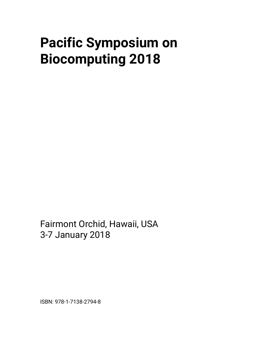# **Pacific Symposium on Biocomputing 2018**

Fairmont Orchid, Hawaii, USA 3-7 January 2018

ISBN: 978-1-7138-2794-8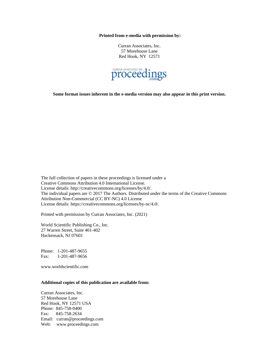**Printed from e-media with permission by:**

Curran Associates, Inc. 57 Morehouse Lane Red Hook, NY 12571



**Some format issues inherent in the e-media version may also appear in this print version.**

The full collection of papers in these proceedings is licensed under a Creative Commons Attribution 4.0 International License. License details: http://creativecommons.org/licenses/by/4.0/. The individual papers are © 2017 The Authors. Distributed under the terms of the Creative Commons Attribution Non-Commercial (CC BY-NC) 4.0 License License details: https://creativecommons.org/licenses/by-nc/4.0/.

Printed with permission by Curran Associates, Inc. (2021)

World Scientific Publishing Co., Inc. 27 Warren Street, Suite 401-402 Hackensack, NJ 07601

Phone: 1-201-487-9655 Fax: 1-201-487-9656

www.worldscientific.com

#### **Additional copies of this publication are available from:**

Curran Associates, Inc. 57 Morehouse Lane Red Hook, NY 12571 USA Phone: 845-758-0400 Fax: 845-758-2634 Email: curran@proceedings.com Web: www.proceedings.com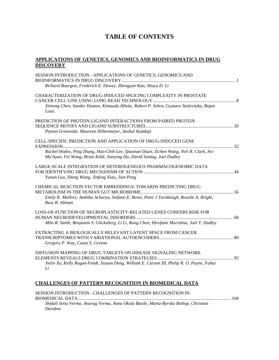## **TABLE OF CONTENTS**

#### **APPLICATIONS OF GENETICS, GENOMICS AND BIOINFORMATICS IN DRUG DISCOVERY**

| SESSION INTRODUCTION - APPLICATIONS OF GENETICS, GENOMICS AND                                                                                                                                                                   |  |
|---------------------------------------------------------------------------------------------------------------------------------------------------------------------------------------------------------------------------------|--|
| Richard Bourgon, Frederick E. Dewey, Zhengyan Kan, Shuyu D. Li                                                                                                                                                                  |  |
| CHARACTERIZATION OF DRUG-INDUCED SPLICING COMPLEXITY IN PROSTATE<br>Xintong Chen, Sander Houten, Kimaada Allette, Robert P. Sebra, Gustavo Stolovitzky, Bojan<br>Losic                                                          |  |
| PREDICTION OF PROTEIN-LIGAND INTERACTIONS FROM PAIRED PROTEIN<br>Peyton Greenside, Maureen Hillenmeyer, Anshul Kundaje                                                                                                          |  |
| CELL-SPECIFIC PREDICTION AND APPLICATION OF DRUG-INDUCED GENE<br>Rachel Hodos, Ping Zhang, Hao-Chih Lee, Qiaonan Duan, Zichen Wang, Neil R. Clark, Avi<br>Ma'Ayan, Fei Wang, Brian Kidd, Jianying Hu, David Sontag, Joel Dudley |  |
| LARGE-SCALE INTEGRATION OF HETEROGENEOUS PHARMACOGENOMIC DATA<br>Yunan Luo, Sheng Wang, Jinfeng Xiao, Jian Peng                                                                                                                 |  |
| CHEMICAL REACTION VECTOR EMBEDDINGS: TOWARDS PREDICTING DRUG<br>Emily K. Mallory, Ambika Acharya, Stefano E. Rensi, Peter J Turnbaugh, Roselie A. Bright,<br>Russ B. Altman                                                     |  |
| LOSS-OF-FUNCTION OF NEUROPLASTICITY-RELATED GENES CONFERS RISK FOR<br>Milo R. Smith, Benjamin S. Glicksberg, Li Li, Rong Chen, Hirofumi Morishita, Joel T. Dudley                                                               |  |
| EXTRACTING A BIOLOGICALLY RELEVANT LATENT SPACE FROM CANCER<br>Gregory P. Way, Casey S. Greene                                                                                                                                  |  |
| DIFFUSION MAPPING OF DRUG TARGETS ON DISEASE SIGNALING NETWORK<br>Jielin Xu, Kelly Regan-Fendt, Siyuan Deng, William E. Carson III, Philip R. O. Payne, Fuhai<br>Li                                                             |  |
|                                                                                                                                                                                                                                 |  |

## **CHALLENGES OF PATTERN RECOGNITION IN BIOMEDICAL DATA**

| SESSION INTRODUCTION - CHALLENGES OF PATTERN RECOGNITION IN                          |  |
|--------------------------------------------------------------------------------------|--|
|                                                                                      |  |
| Shefali Setia Verma, Anurag Verma, Anna Okula Basile, Marta-Byrska Bishop, Christian |  |
| <i>Darabos</i>                                                                       |  |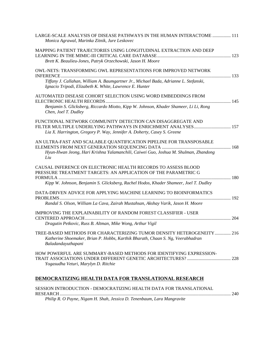| LARGE-SCALE ANALYSIS OF DISEASE PATHWAYS IN THE HUMAN INTERACTOME  111<br>Monica Agrawal, Marinka Zitnik, Jure Leskovec                                                                                                  |  |
|--------------------------------------------------------------------------------------------------------------------------------------------------------------------------------------------------------------------------|--|
| MAPPING PATIENT TRAJECTORIES USING LONGITUDINAL EXTRACTION AND DEEP<br>Brett K. Beaulieu-Jones, Patryk Orzechowski, Jason H. Moore                                                                                       |  |
| OWL-NETS: TRANSFORMING OWL REPRESENTATIONS FOR IMPROVED NETWORK<br>Tiffany J. Callahan, William A. Baumgartner Jr., Michael Bada, Adrianne L. Stefanski,<br>Ignacio Tripodi, Elizabeth K. White, Lawrence E. Hunter      |  |
| AUTOMATED DISEASE COHORT SELECTION USING WORD EMBEDDINGS FROM<br>Benjamin S. Glicksberg, Riccardo Miotto, Kipp W. Johnson, Khader Shameer, Li Li, Rong<br>Chen, Joel T. Dudley                                           |  |
| FUNCTIONAL NETWORK COMMUNITY DETECTION CAN DISAGGREGATE AND<br>Lia X. Harrington, Gregory P. Way, Jennifer A. Doherty, Casey S. Greene                                                                                   |  |
| AN ULTRA-FAST AND SCALABLE QUANTIFICATION PIPELINE FOR TRANSPOSABLE<br>Hyun-Hwan Jeong, Hari Krishna Yalamanchili, Caiwei Guo, Joshua M. Shulman, Zhandong<br>Liu                                                        |  |
| CAUSAL INFERENCE ON ELECTRONIC HEALTH RECORDS TO ASSESS BLOOD<br>PRESSURE TREATMENT TARGETS: AN APPLICATION OF THE PARAMETRIC G<br>Kipp W. Johnson, Benjamin S. Glicksberg, Rachel Hodos, Khader Shameer, Joel T. Dudley |  |
| DATA-DRIVEN ADVICE FOR APPLYING MACHINE LEARNING TO BIOINFORMATICS<br>Randal S. Olson, William La Cava, Zairah Mustahsan, Akshay Varik, Jason H. Moore                                                                   |  |
| IMPROVING THE EXPLAINABILITY OF RANDOM FOREST CLASSIFIER - USER<br>Dragutin Petkovic, Russ B. Altman, Mike Wong, Arthur Vigil                                                                                            |  |
| TREE-BASED METHODS FOR CHARACTERIZING TUMOR DENSITY HETEROGENEITY 216<br>Katherine Shoemaker, Brian P. Hobbs, Karthik Bharath, Chaan S. Ng, Veerabhadran<br>Baladandayuthapani                                           |  |
| HOW POWERFUL ARE SUMMARY-BASED METHODS FOR IDENTIFYING EXPRESSION-<br>Yogasudha Veturi, Marylyn D. Ritchie                                                                                                               |  |
| DEMOCRATIZING HEALTH DATA FOR TRANSLATIONAL RESEARCH                                                                                                                                                                     |  |

| SESSION INTRODUCTION - DEMOCRATIZING HEALTH DATA FOR TRANSLATIONAL      |  |
|-------------------------------------------------------------------------|--|
|                                                                         |  |
| Philip R. O Payne, Nigam H. Shah, Jessica D. Tenenbaum, Lara Mangravite |  |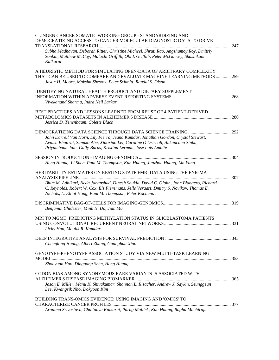| CLINGEN CANCER SOMATIC WORKING GROUP - STANDARDIZING AND<br>DEMOCRATIZING ACCESS TO CANCER MOLECULAR DIAGNOSTIC DATA TO DRIVE<br>Subha Madhavan, Deborah Ritter, Christine Micheel, Shruti Rao, Angshumoy Roy, Dmitriy<br>Sonkin, Matthew McCoy, Malachi Griffith, Obi L Griffith, Peter McGarvey, Shashikant<br>Kulkarni |  |
|---------------------------------------------------------------------------------------------------------------------------------------------------------------------------------------------------------------------------------------------------------------------------------------------------------------------------|--|
| A HEURISTIC METHOD FOR SIMULATING OPEN-DATA OF ARBITRARY COMPLEXITY<br>THAT CAN BE USED TO COMPARE AND EVALUATE MACHINE LEARNING METHODS  259<br>Jason H. Moore, Maksim Shestov, Peter Schmitt, Randal S. Olson                                                                                                           |  |
| <b>IDENTIFYING NATURAL HEALTH PRODUCT AND DIETARY SUPPLEMENT</b><br>Vivekanand Sharma, Indra Neil Sarkar                                                                                                                                                                                                                  |  |
| BEST PRACTICES AND LESSONS LEARNED FROM REUSE OF 4 PATIENT-DERIVED<br>Jessica D. Tenenbaum, Colette Blach                                                                                                                                                                                                                 |  |
| John Darrell Van Horn, Lily Fierro, Jeana Kamdar, Jonathan Gordon, Crystal Stewart,<br>Avnish Bhattrai, Sumiko Abe, Xiaoxiao Lei, Caroline O'Driscoll, Aakanchha Sinha,<br>Priyambada Jain, Gully Burns, Kristina Lerman, Jose Luis Ambite                                                                                |  |
| Heng Huang, Li Shen, Paul M. Thompson, Kun Huang, Junzhou Huang, Lin Yang                                                                                                                                                                                                                                                 |  |
| HERITABILITY ESTIMATES ON RESTING STATE FMRI DATA USING THE ENIGMA<br>Bhim M. Adhikari, Neda Jahanshad, Dinesh Shukla, David C. Glahn, John Blangero, Richard<br>C. Reynolds, Robert W. Cox, Els Fieremans, Jelle Veraart, Dmitry S. Novikov, Thomas E.<br>Nichols, L. Elliot Hong, Paul M. Thompson, Peter Kochunov      |  |
| Benjamin Chidester, Minh N. Do, Jian Ma                                                                                                                                                                                                                                                                                   |  |
| MRI TO MGMT: PREDICTING METHYLATION STATUS IN GLIOBLASTOMA PATIENTS<br>Lichy Han, Maulik R. Kamdar                                                                                                                                                                                                                        |  |
| Chenglong Huang, Albert Zhang, Guanghua Xiao                                                                                                                                                                                                                                                                              |  |
| GENOTYPE-PHENOTYPE ASSOCIATION STUDY VIA NEW MULTI-TASK LEARNING<br>Zhouyuan Huo, Dinggang Shen, Heng Huang                                                                                                                                                                                                               |  |
| CODON BIAS AMONG SYNONYMOUS RARE VARIANTS IS ASSOCIATED WITH<br>Jason E. Miller, Manu K. Shivakumar, Shannon L. Risacher, Andrew J. Saykin, Seunggeun<br>Lee, Kwangsik Nho, Dokyoon Kim                                                                                                                                   |  |
| <b>BUILDING TRANS-OMICS EVIDENCE: USING IMAGING AND 'OMICS' TO</b><br>Arunima Srivastava, Chaitanya Kulkarni, Parag Mallick, Kun Huang, Raghu Machiraju                                                                                                                                                                   |  |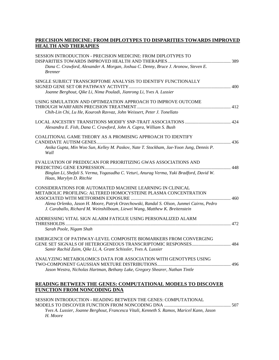### **PRECISION MEDICINE: FROM DIPLOTYPES TO DISPARITIES TOWARDS IMPROVED HEALTH AND THERAPIES**

| SESSION INTRODUCTION - PRECISION MEDICINE: FROM DIPLOTYPES TO                                                                                                           |  |
|-------------------------------------------------------------------------------------------------------------------------------------------------------------------------|--|
| Dana C. Crawford, Alexander A. Morgan, Joshua C. Denny, Bruce J. Aronow, Steven E.<br><b>Brenner</b>                                                                    |  |
| SINGLE SUBJECT TRANSCRIPTOME ANALYSIS TO IDENTIFY FUNCTIONALLY                                                                                                          |  |
| Joanne Berghout, Qike Li, Nima Pouladi, Jianrong Li, Yves A. Lussier                                                                                                    |  |
| USING SIMULATION AND OPTIMIZATION APPROACH TO IMPROVE OUTCOME                                                                                                           |  |
| Chih-Lin Chi, Lu He, Kourosh Ravvaz, John Weissert, Peter J. Tonellato                                                                                                  |  |
|                                                                                                                                                                         |  |
| Alexandra E. Fish, Dana C. Crawford, John A. Capra, William S. Bush                                                                                                     |  |
| COALITIONAL GAME THEORY AS A PROMISING APPROACH TO IDENTIFY                                                                                                             |  |
| Anika Gupta, Min Woo Sun, Kelley M. Paskov, Nate T. Stockham, Jae-Yoon Jung, Dennis P.<br>Wall                                                                          |  |
| EVALUATION OF PREDIXCAN FOR PRIORITIZING GWAS ASSOCIATIONS AND                                                                                                          |  |
| Binglan Li, Shefali S. Verma, Yogasudha C. Veturi, Anurag Verma, Yuki Bradford, David W.<br>Haas, Marylyn D. Ritchie                                                    |  |
| CONSIDERATIONS FOR AUTOMATED MACHINE LEARNING IN CLINICAL<br>METABOLIC PROFILING: ALTERED HOMOCYSTEINE PLASMA CONCENTRATION                                             |  |
|                                                                                                                                                                         |  |
| Alena Orlenko, Jason H. Moore, Patryk Orzechowski, Randal S. Olson, Junmei Cairns, Pedro<br>J. Caraballo, Richard M. Weinshilboum, Liewei Wang, Matthew K. Breitenstein |  |
| ADDRESSING VITAL SIGN ALARM FATIGUE USING PERSONALIZED ALARM                                                                                                            |  |
| Sarah Poole, Nigam Shah                                                                                                                                                 |  |
| EMERGENCE OF PATHWAY-LEVEL COMPOSITE BIOMARKERS FROM CONVERGING                                                                                                         |  |
|                                                                                                                                                                         |  |
| Samir Rachid Zaim, Qike Li, A. Grant Schissler, Yves A. Lussier                                                                                                         |  |
| ANALYZING METABOLOMICS DATA FOR ASSOCIATION WITH GENOTYPES USING                                                                                                        |  |
| Jason Westra, Nicholas Hartman, Bethany Lake, Gregory Shearer, Nathan Tintle                                                                                            |  |
|                                                                                                                                                                         |  |
| <b>READING BETWEEN THE GENES: COMPUTATIONAL MODELS TO DISCOVER</b>                                                                                                      |  |
| FUNCTION FROM NONCODING DNA                                                                                                                                             |  |

SESSION INTRODUCTION - READING BETWEEN THE GENES: COMPUTATIONAL MODELS TO DISCOVER FUNCTION FROM NONCODING DNA .......................................................... 507 *Yves A. Lussier, Joanne Berghout, Francesca Vitali, Kenneth S. Ramos, Maricel Kann, Jason* 

*H. Moore*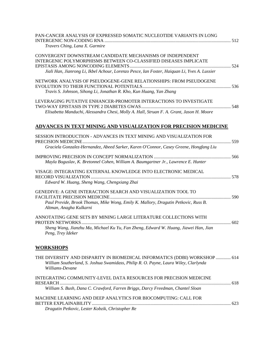| PAN-CANCER ANALYSIS OF EXPRESSED SOMATIC NUCLEOTIDE VARIANTS IN LONG                                                                                                                  |  |
|---------------------------------------------------------------------------------------------------------------------------------------------------------------------------------------|--|
| Travers Ching, Lana X. Garmire                                                                                                                                                        |  |
| CONVERGENT DOWNSTREAM CANDIDATE MECHANISMS OF INDEPENDENT<br>INTERGENIC POLYMORPHISMS BETWEEN CO-CLASSIFIED DISEASES IMPLICATE                                                        |  |
|                                                                                                                                                                                       |  |
| Jiali Han, Jianrong Li, Ikbel Achour, Lorenzo Pesce, Ian Foster, Haiquan Li, Yves A. Lussier                                                                                          |  |
| NETWORK ANALYSIS OF PSEUDOGENE-GENE RELATIONSHIPS: FROM PSEUDOGENE<br>Travis S. Johnson, Sihong Li, Jonathan R. Kho, Kun Huang, Yan Zhang                                             |  |
| LEVERAGING PUTATIVE ENHANCER-PROMOTER INTERACTIONS TO INVESTIGATE<br>Elisabetta Manduchi, Alessandra Chesi, Molly A. Hall, Struan F. A. Grant, Jason H. Moore                         |  |
| ADVANCES IN TEXT MINING AND VISUALIZATION FOR PRECISION MEDICINE                                                                                                                      |  |
| SESSION INTRODUCTION - ADVANCES IN TEXT MINING AND VISUALIZATION FOR                                                                                                                  |  |
| Graciela Gonzalez-Hernandez, Abeed Sarker, Karen O'Connor, Casey Greene, Hongfang Liu                                                                                                 |  |
| Mayla Boguslav, K. Bretonnel Cohen, William A. Baumgartner Jr., Lawrence E. Hunter                                                                                                    |  |
| VISAGE: INTEGRATING EXTERNAL KNOWLEDGE INTO ELECTRONIC MEDICAL<br>Edward W. Huang, Sheng Wang, Chengxiang Zhai                                                                        |  |
| GENEDIVE: A GENE INTERACTION SEARCH AND VISUALIZATION TOOL TO<br>Paul Previde, Brook Thomas, Mike Wong, Emily K. Mallory, Dragutin Petkovic, Russ B.                                  |  |
| Altman, Anagha Kulkarni                                                                                                                                                               |  |
| ANNOTATING GENE SETS BY MINING LARGE LITERATURE COLLECTIONS WITH                                                                                                                      |  |
| Sheng Wang, Jianzhu Ma, Michael Ku Yu, Fan Zheng, Edward W. Huang, Jiawei Han, Jian<br>Peng, Trey Ideker                                                                              |  |
| WORKSHOPS                                                                                                                                                                             |  |
| THE DIVERSITY AND DISPARITY IN BIOMEDICAL INFORMATICS (DDBI) WORKSHOP  614<br>William Southerland, S. Joshua Swamidass, Philip R. O. Payne, Laura Wiley, Clarlynda<br>Williams-Devane |  |
| INTEGRATING COMMUNITY-LEVEL DATA RESOURCES FOR PRECISION MEDICINE                                                                                                                     |  |
| William S. Bush, Dana C. Crawford, Farren Briggs, Darcy Freedman, Chantel Sloan                                                                                                       |  |
| MACHINE LEARNING AND DEEP ANALYTICS FOR BIOCOMPUTING: CALL FOR                                                                                                                        |  |
| Dragutin Petkovic, Lester Kobzik, Christopher Re                                                                                                                                      |  |